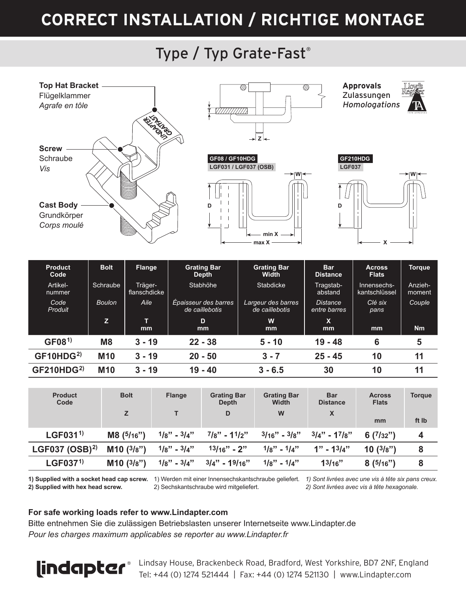# **CORRECT INSTALLATION / RICHTIGE MONTAGE**

### Type / Typ Grate-Fast®



|                       | 74              | mm       | ш<br>mm   | w<br><sub>mm</sub> | A<br>mm   | mm | <b>Nm</b> |
|-----------------------|-----------------|----------|-----------|--------------------|-----------|----|-----------|
| GF(08 <sup>1</sup> )  | M <sub>8</sub>  | $3 - 19$ | $22 - 38$ | $5 - 10$           | $19 - 48$ |    |           |
| GF10HDG <sup>2</sup>  | M <sub>10</sub> | $3 - 19$ | $20 - 50$ | $3 - 7$            | $25 - 45$ | 10 |           |
| GF210HDG <sup>2</sup> | M <sub>10</sub> | $3 - 19$ | $19 - 40$ | $3 - 6.5$          | 30        | 10 |           |

| Product<br>Code     | <b>Bolt</b> | <b>Flange</b>   | <b>Grating Bar</b><br>Depth | <b>Grating Bar</b><br>Width | <b>Bar</b><br><b>Distance</b> | <b>Across</b><br><b>Flats</b> | <b>Torque</b> |
|---------------------|-------------|-----------------|-----------------------------|-----------------------------|-------------------------------|-------------------------------|---------------|
|                     |             |                 | D                           | W                           | X                             | mm                            | ft Ib         |
| LGF031 <sup>1</sup> | M8(5/16")   | $1/8" - 3/4"$   | $7/8"$ - 11/2"              | $3/16" - 3/8"$              | $3/4"$ - 17/8"                | 6(7/32")                      | 4             |
| LGF037 $(OSB)^{2}$  | M10(3/8")   | $1/8" - 3/4"$   | $13/16" - 2"$               | $1/g'' - 1/4''$             | $1" - 13/4"$                  | 10(3/s")                      | 8             |
| LGF037 <sup>1</sup> | M10(3/8")   | $1/g'' - 3/4''$ | $3/4" - 19/16"$             | $1/8" - 1/4"$               | 13/16"                        | 8(5/16")                      | 8             |

**2) Supplied with hex head screw.**

2) Sechskantschraube wird mitgeliefert.

**1) Supplied with a socket head cap screw.** 1) Werden mit einer Innensechskantschraube geliefert. *1) Sont livrées avec une vis à tête six pans creux. 2) Sont livrées avec vis à tête hexagonale.*

#### **For safe working loads refer to www.Lindapter.com**

Bitte entnehmen Sie die zulässigen Betriebslasten unserer Internetseite www.Lindapter.de *Pour les charges maximum applicables se reporter au www.Lindapter.fr*



Lindsay House, Brackenbeck Road, Bradford, West Yorkshire, BD7 2NF, England Tel: +44 (0) 1274 521444 | Fax: +44 (0) 1274 521130 | www.Lindapter.com